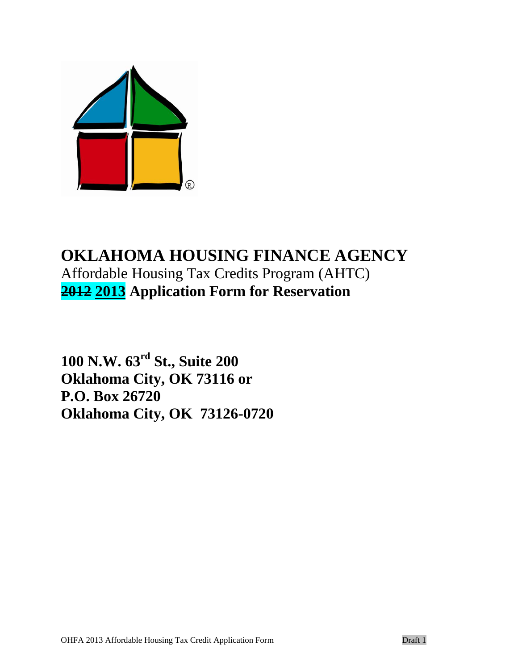

# **OKLAHOMA HOUSING FINANCE AGENCY** Affordable Housing Tax Credits Program (AHTC) **2012 2013 Application Form for Reservation**

**100 N.W. 63rd St., Suite 200 Oklahoma City, OK 73116 or P.O. Box 26720 Oklahoma City, OK 73126-0720**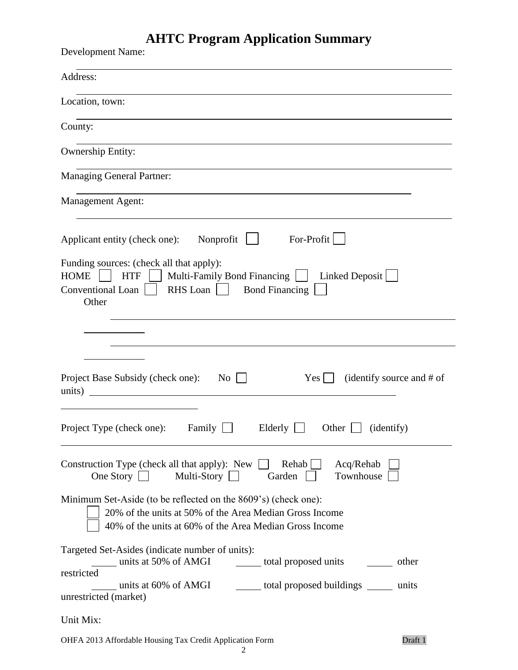# **AHTC Program Application Summary**

| <b>Development Name:</b>                                                                                                                                                                         |
|--------------------------------------------------------------------------------------------------------------------------------------------------------------------------------------------------|
| Address:                                                                                                                                                                                         |
| Location, town:                                                                                                                                                                                  |
| County:                                                                                                                                                                                          |
| Ownership Entity:                                                                                                                                                                                |
| <b>Managing General Partner:</b>                                                                                                                                                                 |
| <b>Management Agent:</b>                                                                                                                                                                         |
| For-Profit<br>Nonprofit<br>Applicant entity (check one):                                                                                                                                         |
| Funding sources: (check all that apply):<br><b>HOME</b><br>Multi-Family Bond Financing<br><b>HTF</b><br>Linked Deposit<br>RHS Loan<br><b>Bond Financing</b><br><b>Conventional Loan</b><br>Other |
| Project Base Subsidy (check one):<br>(identify source and # of<br>No<br>Yes  <br>units)                                                                                                          |
| Project Type (check one): Family $\Box$ Elderly $\Box$ Other $\Box$ (identify)                                                                                                                   |
| Construction Type (check all that apply): New $\Box$<br>Rehab $\Box$<br>Acq/Rehab<br>One Story $\Box$<br>Townhouse<br>Multi-Story $\Box$<br>Garden                                               |
| Minimum Set-Aside (to be reflected on the 8609's) (check one):<br>20% of the units at 50% of the Area Median Gross Income<br>40% of the units at 60% of the Area Median Gross Income             |
| Targeted Set-Asides (indicate number of units):<br>units at 50% of AMGI contact total proposed units compared units                                                                              |
| restricted<br>units at 60% of AMGI contact total proposed buildings contact to the units<br>unrestricted (market)                                                                                |
| Unit Mix:                                                                                                                                                                                        |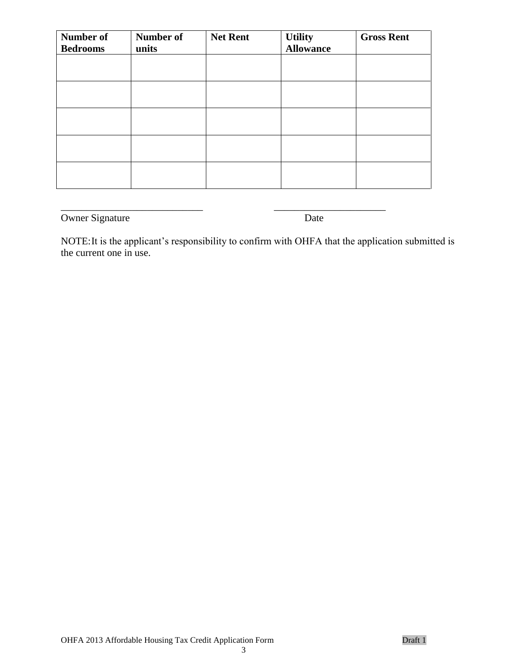| Number of<br><b>Bedrooms</b> | <b>Number of</b><br>units | <b>Net Rent</b> | <b>Utility</b><br><b>Allowance</b> | <b>Gross Rent</b> |
|------------------------------|---------------------------|-----------------|------------------------------------|-------------------|
|                              |                           |                 |                                    |                   |
|                              |                           |                 |                                    |                   |
|                              |                           |                 |                                    |                   |
|                              |                           |                 |                                    |                   |
|                              |                           |                 |                                    |                   |

\_\_\_\_\_\_\_\_\_\_\_\_\_\_\_\_\_\_\_\_\_\_\_\_\_\_\_\_ \_\_\_\_\_\_\_\_\_\_\_\_\_\_\_\_\_\_\_\_\_\_

Owner Signature Date

NOTE:It is the applicant's responsibility to confirm with OHFA that the application submitted is the current one in use.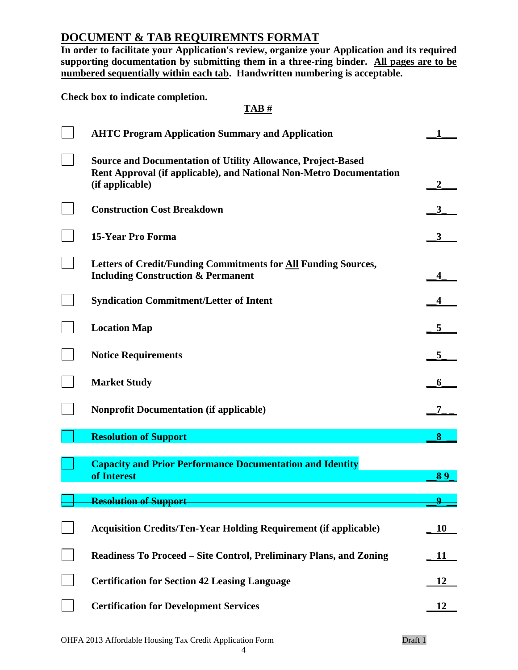# **DOCUMENT & TAB REQUIREMNTS FORMAT**

**In order to facilitate your Application's review, organize your Application and its required supporting documentation by submitting them in a three-ring binder. All pages are to be numbered sequentially within each tab. Handwritten numbering is acceptable.** 

**Check box to indicate completion.**

## **TAB #**

| <b>AHTC Program Application Summary and Application</b>                                                                                                       |    |
|---------------------------------------------------------------------------------------------------------------------------------------------------------------|----|
| <b>Source and Documentation of Utility Allowance, Project-Based</b><br>Rent Approval (if applicable), and National Non-Metro Documentation<br>(if applicable) |    |
| <b>Construction Cost Breakdown</b>                                                                                                                            |    |
| <b>15-Year Pro Forma</b>                                                                                                                                      | 3  |
| Letters of Credit/Funding Commitments for All Funding Sources,<br><b>Including Construction &amp; Permanent</b>                                               |    |
| <b>Syndication Commitment/Letter of Intent</b>                                                                                                                |    |
| <b>Location Map</b>                                                                                                                                           |    |
| <b>Notice Requirements</b>                                                                                                                                    |    |
| <b>Market Study</b>                                                                                                                                           |    |
| <b>Nonprofit Documentation (if applicable)</b>                                                                                                                |    |
| <b>Resolution of Support</b>                                                                                                                                  | 8  |
| <b>Capacity and Prior Performance Documentation and Identity</b><br>of Interest                                                                               | 89 |
| <b>Resolution of Support</b>                                                                                                                                  | Q  |
| <b>Acquisition Credits/Ten-Year Holding Requirement (if applicable)</b>                                                                                       | 10 |
| Readiness To Proceed – Site Control, Preliminary Plans, and Zoning                                                                                            | 11 |
| <b>Certification for Section 42 Leasing Language</b>                                                                                                          |    |
| <b>Certification for Development Services</b>                                                                                                                 | 12 |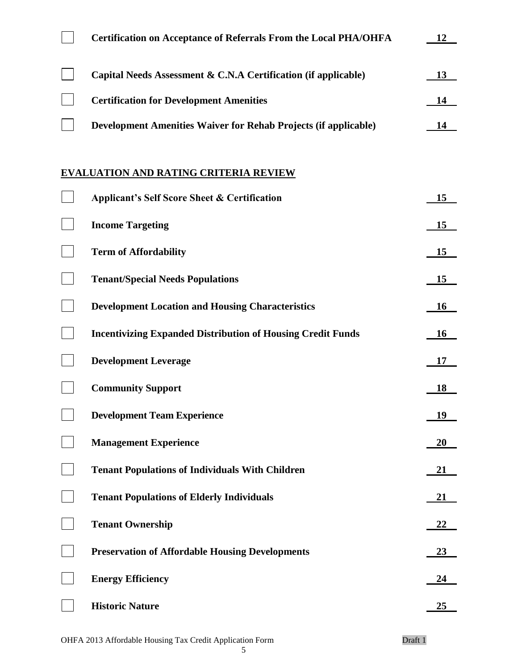| <b>Certification on Acceptance of Referrals From the Local PHA/OHFA</b> | 12 |
|-------------------------------------------------------------------------|----|
| Capital Needs Assessment & C.N.A Certification (if applicable)          | 13 |
| <b>Certification for Development Amenities</b>                          | 14 |
| <b>Development Amenities Waiver for Rehab Projects (if applicable)</b>  | 14 |
| <b>EVALUATION AND RATING CRITERIA REVIEW</b>                            |    |
| <b>Applicant's Self Score Sheet &amp; Certification</b>                 | 15 |
| <b>Income Targeting</b>                                                 | 15 |
| <b>Term of Affordability</b>                                            | 15 |
| <b>Tenant/Special Needs Populations</b>                                 | 15 |
| <b>Development Location and Housing Characteristics</b>                 | 16 |
| <b>Incentivizing Expanded Distribution of Housing Credit Funds</b>      | 16 |
| <b>Development Leverage</b>                                             | 17 |
| <b>Community Support</b>                                                | 18 |
| <b>Development Team Experience</b>                                      | 19 |
| <b>Management Experience</b>                                            | 20 |
| <b>Tenant Populations of Individuals With Children</b>                  | 21 |
| <b>Tenant Populations of Elderly Individuals</b>                        | 21 |
| <b>Tenant Ownership</b>                                                 | 22 |
| <b>Preservation of Affordable Housing Developments</b>                  | 23 |
| <b>Energy Efficiency</b>                                                | 24 |
| <b>Historic Nature</b>                                                  | 25 |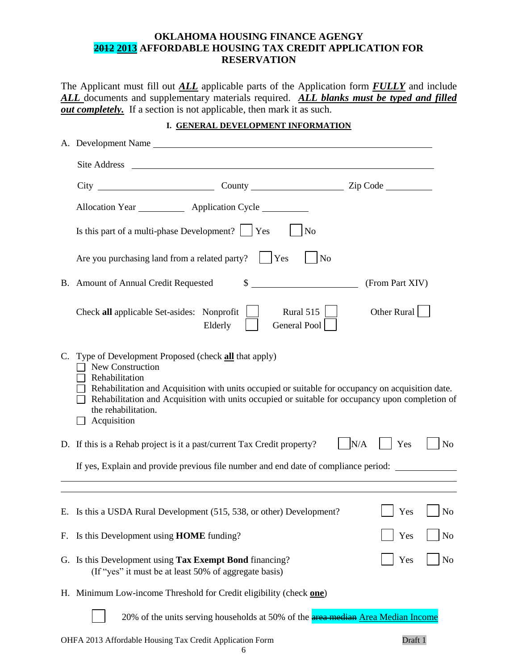## **OKLAHOMA HOUSING FINANCE AGENGY 2012 2013 AFFORDABLE HOUSING TAX CREDIT APPLICATION FOR RESERVATION**

The Applicant must fill out *ALL* applicable parts of the Application form *FULLY* and include *ALL* documents and supplementary materials required. *ALL blanks must be typed and filled <u>out completely.</u>* If a section is not applicable, then mark it as such.

## **I. GENERAL DEVELOPMENT INFORMATION**

|    | A. Development Name                                                                                                                                                                                                                                                                                                                     |                              |  |  |  |  |
|----|-----------------------------------------------------------------------------------------------------------------------------------------------------------------------------------------------------------------------------------------------------------------------------------------------------------------------------------------|------------------------------|--|--|--|--|
|    | Site Address                                                                                                                                                                                                                                                                                                                            |                              |  |  |  |  |
|    |                                                                                                                                                                                                                                                                                                                                         |                              |  |  |  |  |
|    | Allocation Year _____________ Application Cycle                                                                                                                                                                                                                                                                                         |                              |  |  |  |  |
|    | Is this part of a multi-phase Development? $ $ $ $ Yes<br>No                                                                                                                                                                                                                                                                            |                              |  |  |  |  |
|    | Are you purchasing land from a related party?<br>$ $ Yes<br>N <sub>o</sub>                                                                                                                                                                                                                                                              |                              |  |  |  |  |
|    | $\mathbb{S}$<br>B. Amount of Annual Credit Requested                                                                                                                                                                                                                                                                                    | (From Part XIV)              |  |  |  |  |
|    | Rural 515 $\vert$<br>Check all applicable Set-asides: Nonprofit<br>General Pool<br>Elderly                                                                                                                                                                                                                                              | Other Rural                  |  |  |  |  |
| C. | Type of Development Proposed (check all that apply)<br>New Construction<br>Rehabilitation<br>Rehabilitation and Acquisition with units occupied or suitable for occupancy on acquisition date.<br>Rehabilitation and Acquisition with units occupied or suitable for occupancy upon completion of<br>the rehabilitation.<br>Acquisition |                              |  |  |  |  |
|    | D. If this is a Rehab project is it a past/current Tax Credit property?                                                                                                                                                                                                                                                                 | N/A<br>Yes<br>N <sub>o</sub> |  |  |  |  |
|    | If yes, Explain and provide previous file number and end date of compliance period:                                                                                                                                                                                                                                                     |                              |  |  |  |  |
|    |                                                                                                                                                                                                                                                                                                                                         |                              |  |  |  |  |
|    | E. Is this a USDA Rural Development (515, 538, or other) Development?                                                                                                                                                                                                                                                                   | Yes<br>N <sub>0</sub>        |  |  |  |  |
|    | F. Is this Development using HOME funding?                                                                                                                                                                                                                                                                                              | Yes<br>N <sub>o</sub>        |  |  |  |  |
|    | G. Is this Development using Tax Exempt Bond financing?<br>(If "yes" it must be at least 50% of aggregate basis)                                                                                                                                                                                                                        | N <sub>o</sub><br>Yes        |  |  |  |  |
|    | H. Minimum Low-income Threshold for Credit eligibility (check one)                                                                                                                                                                                                                                                                      |                              |  |  |  |  |
|    | 20% of the units serving households at 50% of the <b>area median Area Median Income</b>                                                                                                                                                                                                                                                 |                              |  |  |  |  |
|    | OHFA 2013 Affordable Housing Tax Credit Application Form                                                                                                                                                                                                                                                                                | Draft 1                      |  |  |  |  |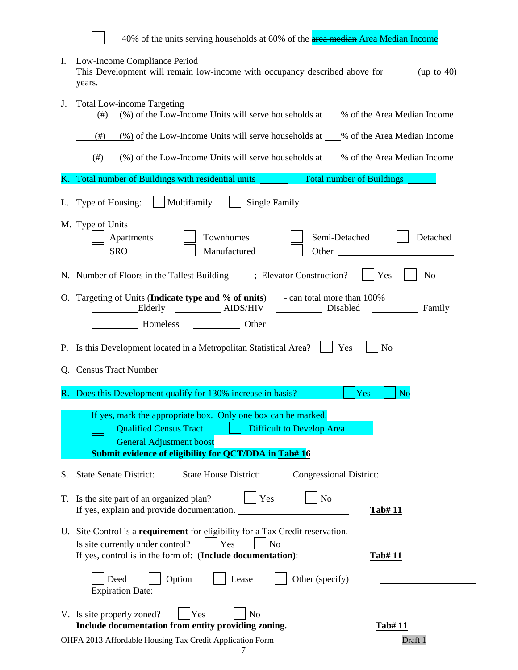40% of the units serving households at 60% of the **area median Area Median Income** 

I. Low-Income Compliance Period This Development will remain low-income with occupancy described above for \_\_\_\_\_\_ (up to 40) years.

| J. | <b>Total Low-income Targeting</b><br>$\frac{(\#)}{(\#)}$ (%) of the Low-Income Units will serve households at ___% of the Area Median Income                                                                                                                                                                                            |
|----|-----------------------------------------------------------------------------------------------------------------------------------------------------------------------------------------------------------------------------------------------------------------------------------------------------------------------------------------|
|    | $\frac{(\%)}{0}$ of the Low-Income Units will serve households at $\_\_\%$ of the Area Median Income<br>(# )                                                                                                                                                                                                                            |
|    | $\frac{(\%)}{(\%)}$ of the Low-Income Units will serve households at ___% of the Area Median Income<br>$^{(#)}$                                                                                                                                                                                                                         |
| K. | Total number of Buildings with residential units ________<br><b>Total number of Buildings</b>                                                                                                                                                                                                                                           |
| L. | Multifamily<br><b>Single Family</b><br>Type of Housing:                                                                                                                                                                                                                                                                                 |
|    | M. Type of Units<br>Townhomes<br>Semi-Detached<br>Detached<br>Apartments<br><b>SRO</b><br>Manufactured<br>Other and the contract of the contract of the contract of the contract of the contract of the contract of the contract of the contract of the contract of the contract of the contract of the contract of the contract of the |
|    | N. Number of Floors in the Tallest Building _____; Elevator Construction?<br>N <sub>o</sub><br>$ $ Yes                                                                                                                                                                                                                                  |
|    | O. Targeting of Units (Indicate type and % of units) - can total more than 100%<br>Elderly __________ AIDS/HIV _________ Disabled<br>Family                                                                                                                                                                                             |
|    | P. Is this Development located in a Metropolitan Statistical Area?     Yes<br>N <sub>o</sub>                                                                                                                                                                                                                                            |
|    | Q. Census Tract Number                                                                                                                                                                                                                                                                                                                  |
|    | R. Does this Development qualify for 130% increase in basis?<br>N <sub>o</sub><br><b>Yes</b>                                                                                                                                                                                                                                            |
|    | If yes, mark the appropriate box. Only one box can be marked.<br><b>Qualified Census Tract</b>   Difficult to Develop Area<br><b>General Adjustment boost</b><br><b>Submit evidence of eligibility for QCT/DDA in Tab# 16</b>                                                                                                           |
|    | S. State Senate District: State House District: Congressional District:                                                                                                                                                                                                                                                                 |
|    | T. Is the site part of an organized plan?<br>Yes<br>No<br>If yes, explain and provide documentation.<br><b>Tab#11</b>                                                                                                                                                                                                                   |
|    | U. Site Control is a <b>requirement</b> for eligibility for a Tax Credit reservation.<br>Is site currently under control?<br>Yes<br>No<br>If yes, control is in the form of: (Include documentation):<br><b>Tab#11</b><br>Option<br>Other (specify)<br>Deed<br>Lease                                                                    |
|    | <b>Expiration Date:</b><br>V. Is site properly zoned?<br>N <sub>o</sub><br>Yes<br>Include documentation from entity providing zoning.<br><u>Tab# 11</u><br>OHFA 2013 Affordable Housing Tax Credit Application Form<br>Draft 1<br>7                                                                                                     |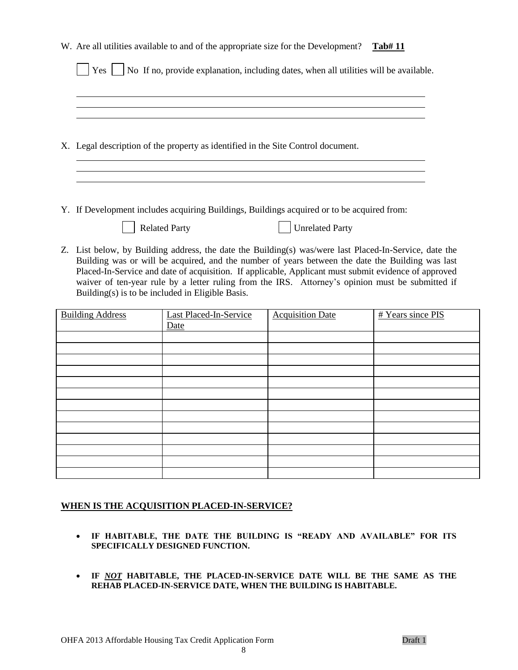|  |                                                                                                     | W. Are all utilities available to and of the appropriate size for the Development? |                                                                                                                                                                                                            | Tab#11            |  |  |  |
|--|-----------------------------------------------------------------------------------------------------|------------------------------------------------------------------------------------|------------------------------------------------------------------------------------------------------------------------------------------------------------------------------------------------------------|-------------------|--|--|--|
|  |                                                                                                     |                                                                                    |                                                                                                                                                                                                            |                   |  |  |  |
|  | No If no, provide explanation, including dates, when all utilities will be available.<br>$Yes \mid$ |                                                                                    |                                                                                                                                                                                                            |                   |  |  |  |
|  |                                                                                                     |                                                                                    |                                                                                                                                                                                                            |                   |  |  |  |
|  |                                                                                                     |                                                                                    |                                                                                                                                                                                                            |                   |  |  |  |
|  |                                                                                                     |                                                                                    |                                                                                                                                                                                                            |                   |  |  |  |
|  |                                                                                                     |                                                                                    |                                                                                                                                                                                                            |                   |  |  |  |
|  |                                                                                                     | X. Legal description of the property as identified in the Site Control document.   |                                                                                                                                                                                                            |                   |  |  |  |
|  |                                                                                                     |                                                                                    |                                                                                                                                                                                                            |                   |  |  |  |
|  |                                                                                                     |                                                                                    |                                                                                                                                                                                                            |                   |  |  |  |
|  |                                                                                                     |                                                                                    |                                                                                                                                                                                                            |                   |  |  |  |
|  |                                                                                                     |                                                                                    |                                                                                                                                                                                                            |                   |  |  |  |
|  |                                                                                                     |                                                                                    | Y. If Development includes acquiring Buildings, Buildings acquired or to be acquired from:                                                                                                                 |                   |  |  |  |
|  |                                                                                                     | <b>Related Party</b>                                                               | <b>Unrelated Party</b>                                                                                                                                                                                     |                   |  |  |  |
|  |                                                                                                     |                                                                                    |                                                                                                                                                                                                            |                   |  |  |  |
|  |                                                                                                     |                                                                                    | Z. List below, by Building address, the date the Building(s) was/were last Placed-In-Service, date the<br>Building was or will be acquired, and the number of years between the date the Building was last |                   |  |  |  |
|  |                                                                                                     |                                                                                    | Placed-In-Service and date of acquisition. If applicable, Applicant must submit evidence of approved                                                                                                       |                   |  |  |  |
|  | waiver of ten-year rule by a letter ruling from the IRS. Attorney's opinion must be submitted if    |                                                                                    |                                                                                                                                                                                                            |                   |  |  |  |
|  |                                                                                                     | Building(s) is to be included in Eligible Basis.                                   |                                                                                                                                                                                                            |                   |  |  |  |
|  | <b>Building Address</b>                                                                             | <b>Last Placed-In-Service</b>                                                      | <b>Acquisition Date</b>                                                                                                                                                                                    | # Years since PIS |  |  |  |
|  |                                                                                                     | Date                                                                               |                                                                                                                                                                                                            |                   |  |  |  |
|  |                                                                                                     |                                                                                    |                                                                                                                                                                                                            |                   |  |  |  |
|  |                                                                                                     |                                                                                    |                                                                                                                                                                                                            |                   |  |  |  |
|  |                                                                                                     |                                                                                    |                                                                                                                                                                                                            |                   |  |  |  |
|  |                                                                                                     |                                                                                    |                                                                                                                                                                                                            |                   |  |  |  |
|  |                                                                                                     |                                                                                    |                                                                                                                                                                                                            |                   |  |  |  |
|  |                                                                                                     |                                                                                    |                                                                                                                                                                                                            |                   |  |  |  |
|  |                                                                                                     |                                                                                    |                                                                                                                                                                                                            |                   |  |  |  |
|  |                                                                                                     |                                                                                    |                                                                                                                                                                                                            |                   |  |  |  |
|  |                                                                                                     |                                                                                    |                                                                                                                                                                                                            |                   |  |  |  |
|  |                                                                                                     |                                                                                    |                                                                                                                                                                                                            |                   |  |  |  |
|  |                                                                                                     |                                                                                    |                                                                                                                                                                                                            |                   |  |  |  |

#### **WHEN IS THE ACQUISITION PLACED-IN-SERVICE?**

- **IF HABITABLE, THE DATE THE BUILDING IS "READY AND AVAILABLE" FOR ITS SPECIFICALLY DESIGNED FUNCTION.**
- **IF** *NOT* **HABITABLE, THE PLACED-IN-SERVICE DATE WILL BE THE SAME AS THE REHAB PLACED-IN-SERVICE DATE, WHEN THE BUILDING IS HABITABLE.**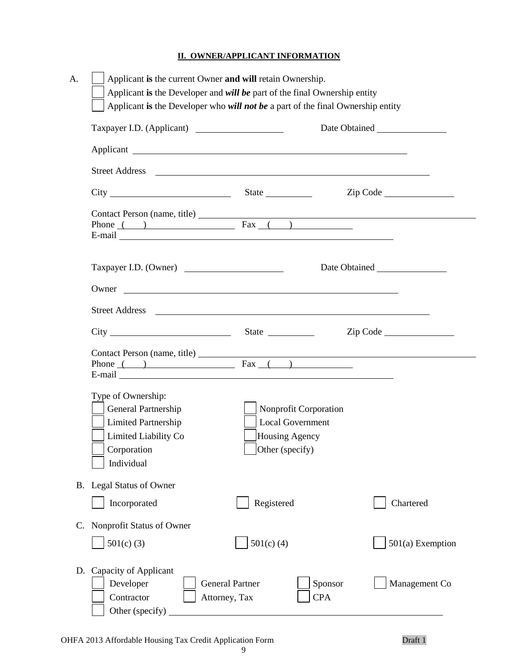## **II. OWNER/APPLICANT INFORMATION**

| Street Address <u>and a street of the street and the street and the street and the street and the street and the street and the street and the street and the street and the street and the street and the street and the street</u> |                                                                                              |                                                           |
|--------------------------------------------------------------------------------------------------------------------------------------------------------------------------------------------------------------------------------------|----------------------------------------------------------------------------------------------|-----------------------------------------------------------|
|                                                                                                                                                                                                                                      |                                                                                              | $\mathsf{Zip} \ \mathsf{Code} \ \underline{\hspace{2cm}}$ |
| Phone $($ ) Fax $($ )<br>E-mail Learner and Learner and Learner and Learner and Learner and Learner and Learner and Learner and Learner                                                                                              |                                                                                              |                                                           |
| Taxpayer I.D. (Owner)                                                                                                                                                                                                                |                                                                                              |                                                           |
|                                                                                                                                                                                                                                      |                                                                                              |                                                           |
|                                                                                                                                                                                                                                      |                                                                                              |                                                           |
|                                                                                                                                                                                                                                      |                                                                                              | $\mathsf{Zip} \ \mathsf{Code} \ \underline{\hspace{2cm}}$ |
| Contact Person (name, title) Fax ()                                                                                                                                                                                                  |                                                                                              |                                                           |
| Type of Ownership:<br>General Partnership<br><b>Limited Partnership</b><br>Limited Liability Co<br>Corporation<br>Individual                                                                                                         | Nonprofit Corporation<br><b>Local Government</b><br>Housing Agency<br>$\Box$ Other (specify) |                                                           |
| <b>Legal Status of Owner</b>                                                                                                                                                                                                         |                                                                                              |                                                           |
| Incorporated                                                                                                                                                                                                                         | Registered                                                                                   | Chartered                                                 |
| Nonprofit Status of Owner                                                                                                                                                                                                            |                                                                                              |                                                           |
|                                                                                                                                                                                                                                      | $501(c)$ (4)                                                                                 | 501(a) Exemption                                          |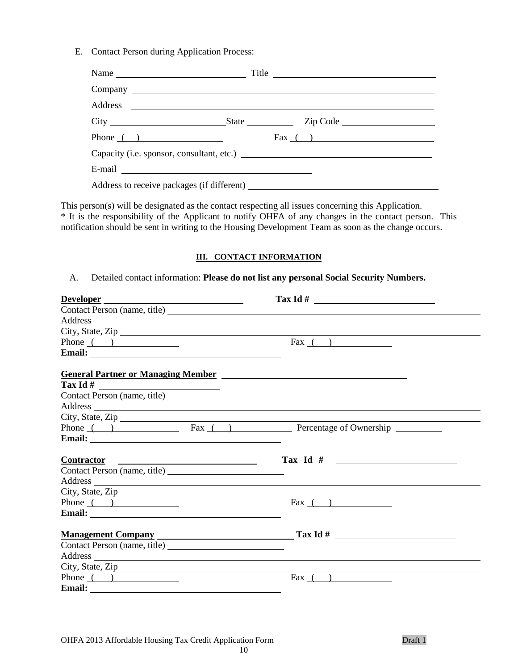E. Contact Person during Application Process:

| Name                                      | Title $\overline{\phantom{a}1}$ |  |
|-------------------------------------------|---------------------------------|--|
|                                           |                                 |  |
|                                           |                                 |  |
|                                           |                                 |  |
| Phone $\qquad)$                           | $\text{Fax}$ ( )                |  |
| Capacity (i.e. sponsor, consultant, etc.) |                                 |  |
|                                           |                                 |  |
|                                           |                                 |  |

This person(s) will be designated as the contact respecting all issues concerning this Application. \* It is the responsibility of the Applicant to notify OHFA of any changes in the contact person. This notification should be sent in writing to the Housing Development Team as soon as the change occurs.

#### **III. CONTACT INFORMATION**

#### A. Detailed contact information: **Please do not list any personal Social Security Numbers.**

| Developer                                                                                                                                                                                                                            |                  |
|--------------------------------------------------------------------------------------------------------------------------------------------------------------------------------------------------------------------------------------|------------------|
|                                                                                                                                                                                                                                      |                  |
| Address                                                                                                                                                                                                                              |                  |
| City, State, Zip                                                                                                                                                                                                                     |                  |
| Phone $($ $)$                                                                                                                                                                                                                        | $\text{Fax}$ ( ) |
|                                                                                                                                                                                                                                      |                  |
|                                                                                                                                                                                                                                      |                  |
|                                                                                                                                                                                                                                      |                  |
|                                                                                                                                                                                                                                      |                  |
| Address and the contract of the contract of the contract of the contract of the contract of the contract of the contract of the contract of the contract of the contract of the contract of the contract of the contract of th       |                  |
|                                                                                                                                                                                                                                      |                  |
|                                                                                                                                                                                                                                      |                  |
| Email: <u>and the contract of the contract of the contract of the contract of the contract of the contract of the contract of the contract of the contract of the contract of the contract of the contract of the contract of th</u> |                  |
| Contractor Contractor                                                                                                                                                                                                                | Tax Id $#$       |
|                                                                                                                                                                                                                                      |                  |
|                                                                                                                                                                                                                                      |                  |
| City, State, Zip                                                                                                                                                                                                                     |                  |
| Phone $($ $)$                                                                                                                                                                                                                        | $\text{Fax}$ ( ) |
|                                                                                                                                                                                                                                      |                  |
| Management Company Tax Id #                                                                                                                                                                                                          |                  |
|                                                                                                                                                                                                                                      |                  |
| Address and the contract of the contract of the contract of the contract of the contract of the contract of the contract of the contract of the contract of the contract of the contract of the contract of the contract of th       |                  |
| City, State, Zip                                                                                                                                                                                                                     |                  |
| Phone $($ $)$                                                                                                                                                                                                                        | $\text{Fax}$ ( ) |
|                                                                                                                                                                                                                                      |                  |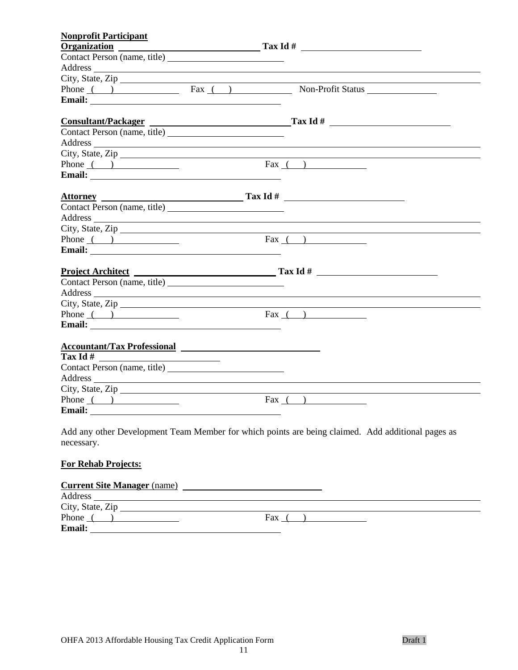| <b>Nonprofit Participant</b>                                                                                                                                                                                                   |                                                                                                                                                                                                                                |
|--------------------------------------------------------------------------------------------------------------------------------------------------------------------------------------------------------------------------------|--------------------------------------------------------------------------------------------------------------------------------------------------------------------------------------------------------------------------------|
|                                                                                                                                                                                                                                | $Organization$ $Tax Id#$                                                                                                                                                                                                       |
|                                                                                                                                                                                                                                |                                                                                                                                                                                                                                |
|                                                                                                                                                                                                                                | Address and the contract of the contract of the contract of the contract of the contract of the contract of the contract of the contract of the contract of the contract of the contract of the contract of the contract of th |
| City, State, Zip                                                                                                                                                                                                               |                                                                                                                                                                                                                                |
|                                                                                                                                                                                                                                | Phone ( ) Fax ( ) Non-Profit Status Non-Profit Status                                                                                                                                                                          |
|                                                                                                                                                                                                                                |                                                                                                                                                                                                                                |
|                                                                                                                                                                                                                                | Consultant/Packager Tax Id #                                                                                                                                                                                                   |
|                                                                                                                                                                                                                                |                                                                                                                                                                                                                                |
|                                                                                                                                                                                                                                | Address and the contract of the contract of the contract of the contract of the contract of the contract of the contract of the contract of the contract of the contract of the contract of the contract of the contract of th |
|                                                                                                                                                                                                                                | City, State, Zip                                                                                                                                                                                                               |
| Phone $($ $)$                                                                                                                                                                                                                  | $\text{Fax}$ ( )                                                                                                                                                                                                               |
|                                                                                                                                                                                                                                |                                                                                                                                                                                                                                |
|                                                                                                                                                                                                                                |                                                                                                                                                                                                                                |
|                                                                                                                                                                                                                                | Attorney<br>Contact Person (name, title) Tax Id #                                                                                                                                                                              |
|                                                                                                                                                                                                                                | Address and the contract of the contract of the contract of the contract of the contract of the contract of the contract of the contract of the contract of the contract of the contract of the contract of the contract of th |
|                                                                                                                                                                                                                                | City, State, Zip                                                                                                                                                                                                               |
| Phone $\qquad \qquad$ $\qquad \qquad$                                                                                                                                                                                          | $\text{Fax}$ ( )                                                                                                                                                                                                               |
|                                                                                                                                                                                                                                |                                                                                                                                                                                                                                |
|                                                                                                                                                                                                                                |                                                                                                                                                                                                                                |
|                                                                                                                                                                                                                                |                                                                                                                                                                                                                                |
|                                                                                                                                                                                                                                | Address and the contract of the contract of the contract of the contract of the contract of the contract of the contract of the contract of the contract of the contract of the contract of the contract of the contract of th |
| City, State, Zip                                                                                                                                                                                                               |                                                                                                                                                                                                                                |
| Phone $($ $)$                                                                                                                                                                                                                  | Fax $( )$                                                                                                                                                                                                                      |
|                                                                                                                                                                                                                                |                                                                                                                                                                                                                                |
| Accountant/Tax Professional 2008 2010 12:00 12:00 12:00 12:00 12:00 12:00 12:00 12:00 12:00 12:00 12:00 12:00                                                                                                                  |                                                                                                                                                                                                                                |
|                                                                                                                                                                                                                                |                                                                                                                                                                                                                                |
|                                                                                                                                                                                                                                |                                                                                                                                                                                                                                |
| Address and the contract of the contract of the contract of the contract of the contract of the contract of the contract of the contract of the contract of the contract of the contract of the contract of the contract of th |                                                                                                                                                                                                                                |
| City, State, Zip                                                                                                                                                                                                               |                                                                                                                                                                                                                                |
| Phone $($ $)$                                                                                                                                                                                                                  | Fax $($ $)$                                                                                                                                                                                                                    |
|                                                                                                                                                                                                                                |                                                                                                                                                                                                                                |
|                                                                                                                                                                                                                                |                                                                                                                                                                                                                                |

Add any other Development Team Member for which points are being claimed. Add additional pages as necessary.

## **For Rehab Projects:**

#### **Current Site Manager** (name)

| Address          |     |  |
|------------------|-----|--|
| City, State, Zip |     |  |
| Phone            | Fax |  |
| Email:           |     |  |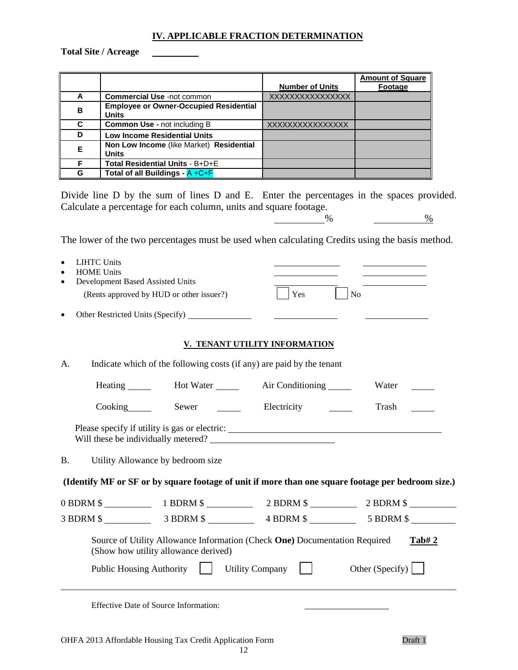#### **IV. APPLICABLE FRACTION DETERMINATION**

**Total Site / Acreage**

|   |                                               |                        | <b>Amount of Square</b> |
|---|-----------------------------------------------|------------------------|-------------------------|
|   |                                               | <b>Number of Units</b> | Footage                 |
| A | <b>Commercial Use -not common</b>             | XXXXXXXXXXXXXXXX       |                         |
| в | <b>Employee or Owner-Occupied Residential</b> |                        |                         |
|   | <b>Units</b>                                  |                        |                         |
| C | <b>Common Use - not including B</b>           | XXXXXXXXXXXXXXXX       |                         |
| D | <b>Low Income Residential Units</b>           |                        |                         |
| Е | Non Low Income (like Market) Residential      |                        |                         |
|   | <b>Units</b>                                  |                        |                         |
| F | Total Residential Units - B+D+E               |                        |                         |
| G | Total of all Buildings - $A + C + F$          |                        |                         |

Divide line D by the sum of lines D and E. Enter the percentages in the spaces provided. Calculate a percentage for each column, units and square footage.

 $\frac{9}{6}$ 

The lower of the two percentages must be used when calculating Credits using the basis method.

| $\bullet$ | <b>LIHTC Units</b><br><b>HOME Units</b><br>Development Based Assisted Units                                                                                                                                                                                                                                                                                                                                                                                                                |                                          |                                                                                                                          |                         |
|-----------|--------------------------------------------------------------------------------------------------------------------------------------------------------------------------------------------------------------------------------------------------------------------------------------------------------------------------------------------------------------------------------------------------------------------------------------------------------------------------------------------|------------------------------------------|--------------------------------------------------------------------------------------------------------------------------|-------------------------|
|           |                                                                                                                                                                                                                                                                                                                                                                                                                                                                                            | (Rents approved by HUD or other issuer?) | Yes                                                                                                                      | N <sub>o</sub>          |
| $\bullet$ |                                                                                                                                                                                                                                                                                                                                                                                                                                                                                            |                                          | <u> The Communication of the Communication</u>                                                                           |                         |
|           |                                                                                                                                                                                                                                                                                                                                                                                                                                                                                            |                                          | V. TENANT UTILITY INFORMATION                                                                                            |                         |
| A.        |                                                                                                                                                                                                                                                                                                                                                                                                                                                                                            |                                          | Indicate which of the following costs (if any) are paid by the tenant                                                    |                         |
|           |                                                                                                                                                                                                                                                                                                                                                                                                                                                                                            |                                          | Heating _______ Hot Water ______ Air Conditioning _____                                                                  | Water                   |
|           |                                                                                                                                                                                                                                                                                                                                                                                                                                                                                            | Cooking Sewer                            | Electricity                                                                                                              | Trash                   |
|           |                                                                                                                                                                                                                                                                                                                                                                                                                                                                                            |                                          | Please specify if utility is gas or electric: ___________________________________<br>Will these be individually metered? |                         |
| <b>B.</b> |                                                                                                                                                                                                                                                                                                                                                                                                                                                                                            | Utility Allowance by bedroom size        |                                                                                                                          |                         |
|           |                                                                                                                                                                                                                                                                                                                                                                                                                                                                                            |                                          | (Identify MF or SF or by square footage of unit if more than one square footage per bedroom size.)                       |                         |
|           |                                                                                                                                                                                                                                                                                                                                                                                                                                                                                            |                                          | 0 BDRM \$ 1 BDRM \$ 2 BDRM \$ 2 BDRM \$ 2 BDRM \$                                                                        |                         |
|           |                                                                                                                                                                                                                                                                                                                                                                                                                                                                                            |                                          |                                                                                                                          |                         |
|           |                                                                                                                                                                                                                                                                                                                                                                                                                                                                                            | (Show how utility allowance derived)     | Source of Utility Allowance Information (Check One) Documentation Required                                               | <b>Tab#2</b>            |
|           | <b>Public Housing Authority</b>                                                                                                                                                                                                                                                                                                                                                                                                                                                            | $\mathbf{1}$                             | Utility Company $\vert \vert$                                                                                            | Other (Specify) $\vert$ |
|           | $\blacksquare$ $\blacksquare$ $\blacksquare$ $\blacksquare$ $\blacksquare$ $\blacksquare$ $\blacksquare$ $\blacksquare$ $\blacksquare$ $\blacksquare$ $\blacksquare$ $\blacksquare$ $\blacksquare$ $\blacksquare$ $\blacksquare$ $\blacksquare$ $\blacksquare$ $\blacksquare$ $\blacksquare$ $\blacksquare$ $\blacksquare$ $\blacksquare$ $\blacksquare$ $\blacksquare$ $\blacksquare$ $\blacksquare$ $\blacksquare$ $\blacksquare$ $\blacksquare$ $\blacksquare$ $\blacksquare$ $\blacks$ |                                          |                                                                                                                          |                         |

Effective Date of Source Information: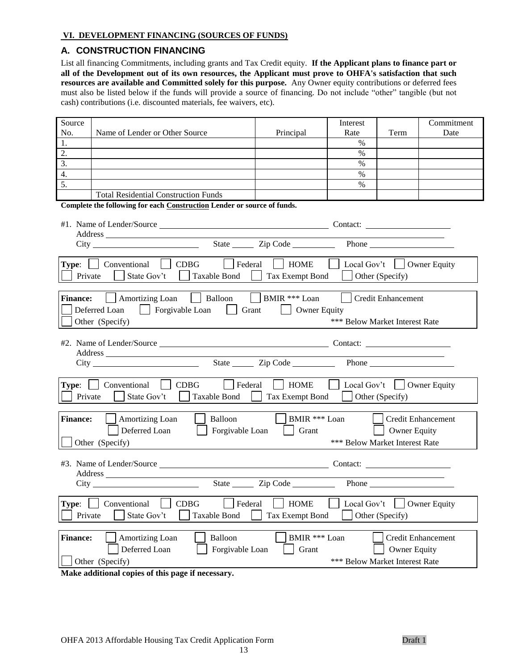#### **VI. DEVELOPMENT FINANCING (SOURCES OF FUNDS)**

#### **A. CONSTRUCTION FINANCING**

List all financing Commitments, including grants and Tax Credit equity. **If the Applicant plans to finance part or all of the Development out of its own resources, the Applicant must prove to OHFA's satisfaction that such resources are available and Committed solely for this purpose.** Any Owner equity contributions or deferred fees must also be listed below if the funds will provide a source of financing. Do not include "other" tangible (but not cash) contributions (i.e. discounted materials, fee waivers, etc).

| Source<br>No.   | Name of Lender or Other Source                                          | Principal             | Interest<br>Rate                         | Term               | Commitment<br>Date  |  |  |
|-----------------|-------------------------------------------------------------------------|-----------------------|------------------------------------------|--------------------|---------------------|--|--|
| 1.              |                                                                         |                       | $\%$                                     |                    |                     |  |  |
|                 |                                                                         |                       |                                          |                    |                     |  |  |
| 2.              |                                                                         |                       | $\%$                                     |                    |                     |  |  |
| 3.              |                                                                         |                       | $\%$                                     |                    |                     |  |  |
| 4.              |                                                                         |                       | $\%$                                     |                    |                     |  |  |
| 5.              |                                                                         |                       | $\%$                                     |                    |                     |  |  |
|                 | <b>Total Residential Construction Funds</b>                             |                       |                                          |                    |                     |  |  |
|                 | Complete the following for each Construction Lender or source of funds. |                       |                                          |                    |                     |  |  |
|                 |                                                                         |                       |                                          |                    |                     |  |  |
|                 |                                                                         |                       |                                          | Phone              |                     |  |  |
|                 |                                                                         |                       |                                          |                    |                     |  |  |
|                 | <b>Type:</b> $\Box$ Conventional $\Box$ CDBG<br>$ \cdot $ Federal       | $\vert$ HOME          | $\vert$ Local Gov't $\vert$ Owner Equity |                    |                     |  |  |
|                 |                                                                         |                       |                                          |                    |                     |  |  |
| Private         | Taxable Bond<br>State Gov't                                             | Tax Exempt Bond       |                                          | Other (Specify)    |                     |  |  |
|                 |                                                                         |                       |                                          |                    |                     |  |  |
| <b>Finance:</b> | Amortizing Loan   Balloon   BMIR *** Loan                               |                       |                                          | Credit Enhancement |                     |  |  |
|                 | Forgivable Loan   Grant<br>Deferred Loan                                | Owner Equity          |                                          |                    |                     |  |  |
|                 | Other (Specify)                                                         |                       | *** Below Market Interest Rate           |                    |                     |  |  |
|                 |                                                                         |                       |                                          |                    |                     |  |  |
|                 |                                                                         |                       |                                          |                    |                     |  |  |
|                 |                                                                         |                       |                                          |                    |                     |  |  |
|                 |                                                                         |                       |                                          |                    |                     |  |  |
|                 |                                                                         |                       |                                          |                    |                     |  |  |
|                 | $\vert$   Federal<br>Type:   Conventional   CDBG                        | $\vert$ HOME          | Local Gov't   Owner Equity               |                    |                     |  |  |
|                 | Taxable Bond  <br>Private    <br>State Gov't                            | Tax Exempt Bond       | $\Box$ Other (Specify)                   |                    |                     |  |  |
|                 |                                                                         |                       |                                          |                    |                     |  |  |
|                 |                                                                         |                       |                                          |                    |                     |  |  |
| <b>Finance:</b> | Balloon<br>  Amortizing Loan                                            | $\vert$ BMIR *** Loan | and the state of the state               |                    | Credit Enhancement  |  |  |
|                 | Deferred Loan<br>$\Box$ Forgivable Loan                                 | $\vert$ Grant         |                                          | Owner Equity       |                     |  |  |
|                 | Other (Specify)                                                         |                       | *** Below Market Interest Rate           |                    |                     |  |  |
|                 |                                                                         |                       |                                          |                    |                     |  |  |
|                 |                                                                         |                       |                                          |                    |                     |  |  |
|                 |                                                                         |                       |                                          |                    |                     |  |  |
|                 |                                                                         |                       |                                          |                    |                     |  |  |
|                 |                                                                         |                       |                                          |                    |                     |  |  |
| Type:           | Conventional<br>CDBG<br>Federal                                         | <b>HOME</b>           | Local Gov't                              |                    | <b>Owner Equity</b> |  |  |
|                 |                                                                         |                       |                                          |                    |                     |  |  |
| Private         | State Gov't<br><b>Taxable Bond</b>                                      | Tax Exempt Bond       |                                          | Other (Specify)    |                     |  |  |
|                 |                                                                         |                       |                                          |                    |                     |  |  |
| <b>Finance:</b> | Amortizing Loan<br>Balloon                                              | BMIR *** Loan         |                                          |                    | Credit Enhancement  |  |  |
|                 | Deferred Loan<br>Forgivable Loan                                        | Grant                 |                                          | Owner Equity       |                     |  |  |
|                 | Other (Specify)                                                         |                       | *** Below Market Interest Rate           |                    |                     |  |  |
|                 |                                                                         |                       |                                          |                    |                     |  |  |

**Make additional copies of this page if necessary.**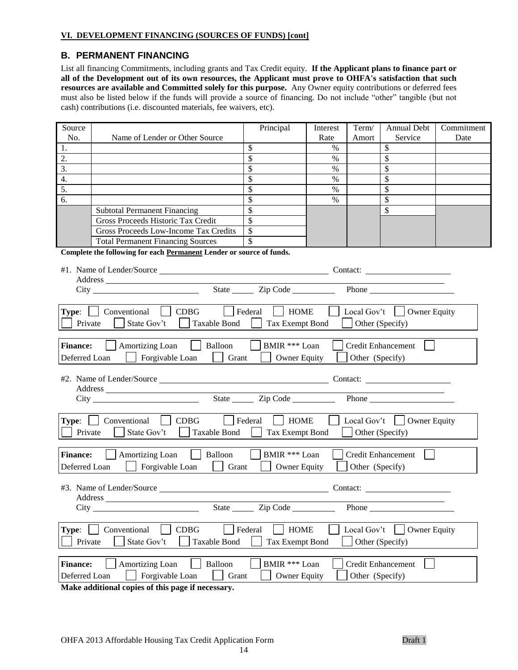#### **VI. DEVELOPMENT FINANCING (SOURCES OF FUNDS) [cont]**

### **B. PERMANENT FINANCING**

List all financing Commitments, including grants and Tax Credit equity. **If the Applicant plans to finance part or all of the Development out of its own resources, the Applicant must prove to OHFA's satisfaction that such resources are available and Committed solely for this purpose.** Any Owner equity contributions or deferred fees must also be listed below if the funds will provide a source of financing. Do not include "other" tangible (but not cash) contributions (i.e. discounted materials, fee waivers, etc).

| Source<br>No.                                                                       | Name of Lender or Other Source                                       | Principal              | Interest<br>Rate | Term/<br>Amort  | <b>Annual Debt</b><br>Service    | Commitment<br>Date |
|-------------------------------------------------------------------------------------|----------------------------------------------------------------------|------------------------|------------------|-----------------|----------------------------------|--------------------|
| 1.                                                                                  |                                                                      | \$                     | $\%$             |                 | \$                               |                    |
| 2.                                                                                  |                                                                      | \$                     | $\%$             |                 | \$                               |                    |
| 3.                                                                                  |                                                                      | \$                     | $\%$             |                 | \$                               |                    |
| 4.                                                                                  |                                                                      | \$                     | $\%$             |                 | \$                               |                    |
| $\overline{5}$ .                                                                    |                                                                      | \$                     | $\%$             |                 | \$                               |                    |
| 6.                                                                                  |                                                                      | \$                     | $\%$             |                 | \$                               |                    |
|                                                                                     | <b>Subtotal Permanent Financing</b>                                  | \$                     |                  |                 | $\mathbb{S}$                     |                    |
|                                                                                     | Gross Proceeds Historic Tax Credit                                   | $\mathcal{S}$          |                  |                 |                                  |                    |
|                                                                                     | <b>Gross Proceeds Low-Income Tax Credits</b>                         | \$                     |                  |                 |                                  |                    |
|                                                                                     | <b>Total Permanent Financing Sources</b>                             |                        |                  |                 |                                  |                    |
|                                                                                     | Complete the following for each Permanent Lender or source of funds. |                        |                  |                 |                                  |                    |
|                                                                                     |                                                                      |                        |                  |                 |                                  |                    |
|                                                                                     |                                                                      |                        |                  |                 |                                  |                    |
|                                                                                     | City                                                                 | State <u>Cip</u> Code  |                  |                 |                                  |                    |
|                                                                                     |                                                                      |                        |                  |                 |                                  |                    |
| Type:                                                                               | Conventional<br><b>CDBG</b>                                          | Federal<br><b>HOME</b> |                  |                 | Local Gov't $\vert$ Owner Equity |                    |
|                                                                                     |                                                                      |                        |                  |                 |                                  |                    |
| Private                                                                             | State Gov't<br><b>Taxable Bond</b>                                   | Tax Exempt Bond        |                  |                 | Other (Specify)                  |                    |
|                                                                                     |                                                                      |                        |                  |                 |                                  |                    |
| <b>Finance:</b>                                                                     | Balloon<br>Amortizing Loan                                           | BMIR *** Loan          |                  |                 | <b>Credit Enhancement</b>        |                    |
| Deferred Loan                                                                       | Forgivable Loan<br>Grant                                             | <b>Owner Equity</b>    |                  | Other (Specify) |                                  |                    |
|                                                                                     |                                                                      |                        |                  |                 |                                  |                    |
|                                                                                     |                                                                      |                        |                  |                 | Contact:                         |                    |
|                                                                                     |                                                                      |                        |                  |                 |                                  |                    |
|                                                                                     | City                                                                 | State <u>Cip</u> Code  |                  |                 |                                  |                    |
|                                                                                     |                                                                      |                        |                  |                 |                                  |                    |
| <b>Type:</b>                                                                        | <b>CDBG</b><br>Conventional                                          | Federal<br><b>HOME</b> |                  |                 | Local Gov't $\Box$ Owner Equity  |                    |
| Private                                                                             | State Gov't<br>Taxable Bond                                          | Tax Exempt Bond        |                  |                 | Other (Specify)                  |                    |
|                                                                                     |                                                                      |                        |                  |                 |                                  |                    |
| <b>Finance:</b>                                                                     | Amortizing Loan<br>$\vert$ Balloon                                   | BMIR *** Loan          |                  |                 | <b>Credit Enhancement</b>        |                    |
| Deferred Loan                                                                       | Forgivable Loan<br>Grant                                             | <b>Owner Equity</b>    |                  | Other (Specify) |                                  |                    |
|                                                                                     |                                                                      |                        |                  |                 |                                  |                    |
|                                                                                     | #3. Name of Lender/Source                                            |                        |                  | Contact:        |                                  |                    |
| Address                                                                             |                                                                      |                        |                  |                 |                                  |                    |
| State Zip Code<br>Phone                                                             |                                                                      |                        |                  |                 |                                  |                    |
|                                                                                     |                                                                      |                        |                  |                 |                                  |                    |
| Type:                                                                               | CDBG<br>Conventional                                                 | <b>HOME</b><br>Federal |                  | Local Gov't     | <b>Owner Equity</b>              |                    |
| Private<br>State Gov't<br><b>Taxable Bond</b><br>Tax Exempt Bond<br>Other (Specify) |                                                                      |                        |                  |                 |                                  |                    |
|                                                                                     |                                                                      |                        |                  |                 |                                  |                    |
| <b>Finance:</b>                                                                     | <b>Amortizing Loan</b><br>Balloon                                    | BMIR *** Loan          |                  |                 | Credit Enhancement               |                    |
|                                                                                     |                                                                      |                        |                  |                 |                                  |                    |
| Deferred Loan<br>Forgivable Loan<br>Other (Specify)<br><b>Owner Equity</b><br>Grant |                                                                      |                        |                  |                 |                                  |                    |

**Make additional copies of this page if necessary.**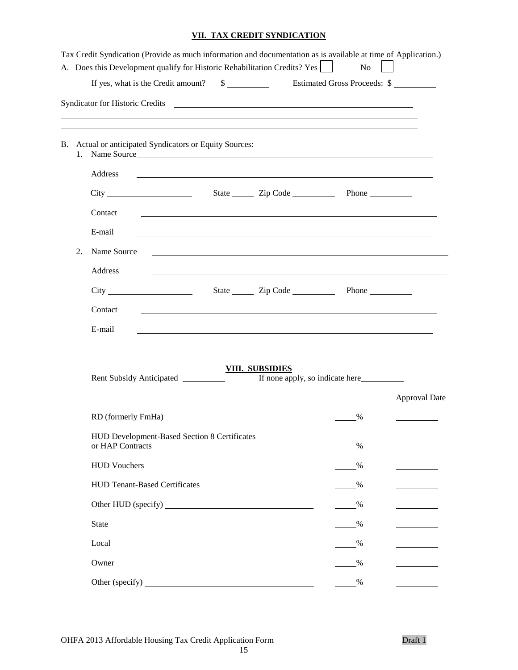## **VII. TAX CREDIT SYNDICATION**

|    | Tax Credit Syndication (Provide as much information and documentation as is available at time of Application.)<br>A. Does this Development qualify for Historic Rehabilitation Credits? Yes |                                                                  | No   |                      |
|----|---------------------------------------------------------------------------------------------------------------------------------------------------------------------------------------------|------------------------------------------------------------------|------|----------------------|
|    |                                                                                                                                                                                             |                                                                  |      |                      |
|    | ,我们也不会有什么。""我们的人,我们也不会有什么?""我们的人,我们也不会有什么?""我们的人,我们也不会有什么?""我们的人,我们也不会有什么?""我们的人<br>B. Actual or anticipated Syndicators or Equity Sources:<br>1. Name Source                               |                                                                  |      |                      |
|    | Address                                                                                                                                                                                     |                                                                  |      |                      |
|    |                                                                                                                                                                                             |                                                                  |      |                      |
|    | Contact                                                                                                                                                                                     |                                                                  |      |                      |
|    | E-mail                                                                                                                                                                                      |                                                                  |      |                      |
| 2. | Name Source                                                                                                                                                                                 | <u> 1989 - Jan Salaman Salaman (j. 1989)</u>                     |      |                      |
|    | Address                                                                                                                                                                                     | <u> 1989 - Johann John Stone, meilich aus der Stone († 1989)</u> |      |                      |
|    |                                                                                                                                                                                             |                                                                  |      |                      |
|    | Contact                                                                                                                                                                                     |                                                                  |      |                      |
|    | E-mail                                                                                                                                                                                      |                                                                  |      |                      |
|    | Rent Subsidy Anticipated                                                                                                                                                                    | <b>VIII. SUBSIDIES</b>                                           |      | <b>Approval Date</b> |
|    | RD (formerly FmHa)                                                                                                                                                                          |                                                                  | %    |                      |
|    | HUD Development-Based Section 8 Certificates<br>or HAP Contracts                                                                                                                            |                                                                  | %    |                      |
|    | <b>HUD Vouchers</b>                                                                                                                                                                         |                                                                  | %    |                      |
|    | <b>HUD Tenant-Based Certificates</b>                                                                                                                                                        |                                                                  | %    |                      |
|    |                                                                                                                                                                                             |                                                                  | $\%$ |                      |
|    | <b>State</b>                                                                                                                                                                                |                                                                  | %    |                      |
|    | Local                                                                                                                                                                                       |                                                                  | %    |                      |
|    | Owner                                                                                                                                                                                       |                                                                  | %    |                      |
|    | Other (specify)                                                                                                                                                                             |                                                                  | $\%$ |                      |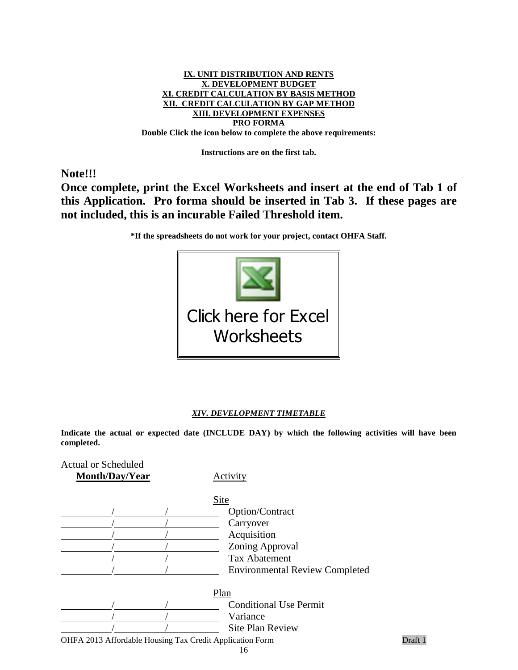

**Instructions are on the first tab.**

**Note!!!**

**Once complete, print the Excel Worksheets and insert at the end of Tab 1 of this Application. Pro forma should be inserted in Tab 3. If these pages are not included, this is an incurable Failed Threshold item.**

**\*If the spreadsheets do not work for your project, contact OHFA Staff.**



#### *XIV. DEVELOPMENT TIMETABLE*

**Indicate the actual or expected date (INCLUDE DAY) by which the following activities will have been completed.** 

| <b>Actual or Scheduled</b>                               |                                       |         |
|----------------------------------------------------------|---------------------------------------|---------|
| Month/Day/Year                                           | Activity                              |         |
|                                                          | Site                                  |         |
|                                                          | Option/Contract                       |         |
|                                                          | Carryover                             |         |
|                                                          | Acquisition                           |         |
|                                                          | Zoning Approval                       |         |
|                                                          | <b>Tax Abatement</b>                  |         |
|                                                          | <b>Environmental Review Completed</b> |         |
|                                                          | Plan                                  |         |
|                                                          | <b>Conditional Use Permit</b>         |         |
|                                                          | Variance                              |         |
|                                                          | <b>Site Plan Review</b>               |         |
| OHFA 2013 Affordable Housing Tax Credit Application Form |                                       | Draft 1 |
|                                                          | 16                                    |         |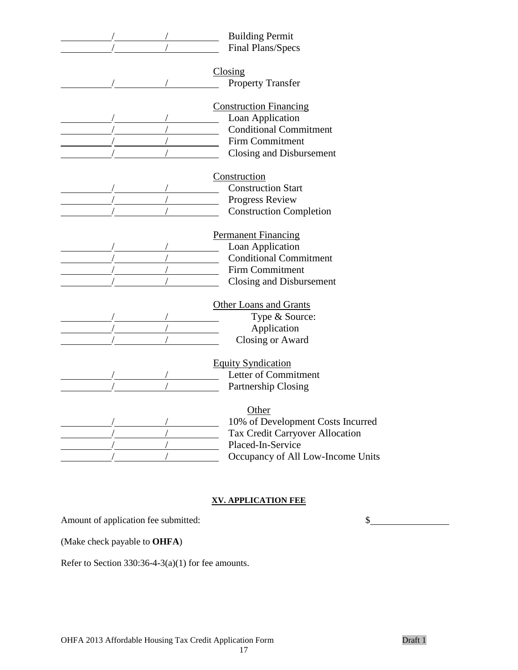| <b>Building Permit</b>            |
|-----------------------------------|
| Final Plans/Specs                 |
| Closing                           |
| Property Transfer                 |
|                                   |
| <b>Construction Financing</b>     |
| Loan Application                  |
| <b>Conditional Commitment</b>     |
| <b>Firm Commitment</b>            |
| Closing and Disbursement          |
| Construction                      |
| <b>Construction Start</b>         |
| Progress Review                   |
| <b>Construction Completion</b>    |
|                                   |
| <b>Permanent Financing</b>        |
| Loan Application                  |
| <b>Conditional Commitment</b>     |
| <b>Firm Commitment</b>            |
| Closing and Disbursement          |
|                                   |
| <b>Other Loans and Grants</b>     |
| Type & Source:                    |
| Application                       |
| Closing or Award                  |
| <b>Equity Syndication</b>         |
| <b>Letter of Commitment</b>       |
| Partnership Closing               |
|                                   |
| Other                             |
| 10% of Development Costs Incurred |
| Tax Credit Carryover Allocation   |
| Placed-In-Service                 |
| Occupancy of All Low-Income Units |

### **XV. APPLICATION FEE**

17

Amount of application fee submitted:  $\quad \$ 

(Make check payable to **OHFA**)

Refer to Section 330:36-4-3(a)(1) for fee amounts.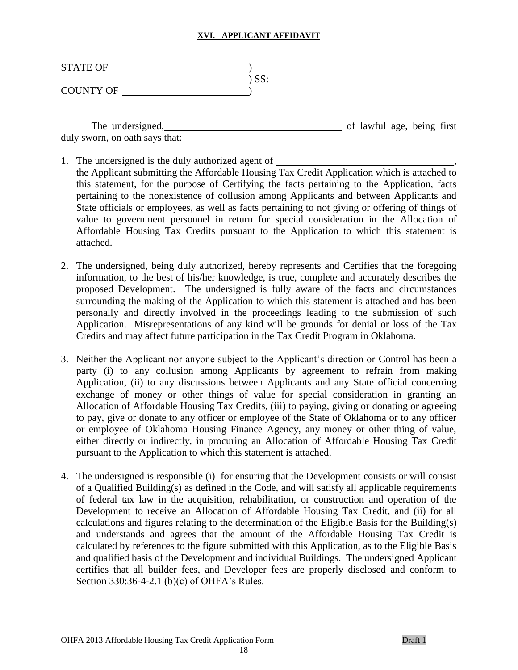#### **XVI. APPLICANT AFFIDAVIT**

| <b>STATE OF</b>  |         |
|------------------|---------|
|                  | $)$ SS: |
| <b>COUNTY OF</b> |         |

The undersigned, the undersigned, the undersigned, the undersigned, the undersident of lawful age, being first duly sworn, on oath says that:

- 1. The undersigned is the duly authorized agent of the Applicant submitting the Affordable Housing Tax Credit Application which is attached to this statement, for the purpose of Certifying the facts pertaining to the Application, facts pertaining to the nonexistence of collusion among Applicants and between Applicants and State officials or employees, as well as facts pertaining to not giving or offering of things of value to government personnel in return for special consideration in the Allocation of Affordable Housing Tax Credits pursuant to the Application to which this statement is attached.
- 2. The undersigned, being duly authorized, hereby represents and Certifies that the foregoing information, to the best of his/her knowledge, is true, complete and accurately describes the proposed Development. The undersigned is fully aware of the facts and circumstances surrounding the making of the Application to which this statement is attached and has been personally and directly involved in the proceedings leading to the submission of such Application. Misrepresentations of any kind will be grounds for denial or loss of the Tax Credits and may affect future participation in the Tax Credit Program in Oklahoma.
- 3. Neither the Applicant nor anyone subject to the Applicant's direction or Control has been a party (i) to any collusion among Applicants by agreement to refrain from making Application, (ii) to any discussions between Applicants and any State official concerning exchange of money or other things of value for special consideration in granting an Allocation of Affordable Housing Tax Credits, (iii) to paying, giving or donating or agreeing to pay, give or donate to any officer or employee of the State of Oklahoma or to any officer or employee of Oklahoma Housing Finance Agency, any money or other thing of value, either directly or indirectly, in procuring an Allocation of Affordable Housing Tax Credit pursuant to the Application to which this statement is attached.
- 4. The undersigned is responsible (i) for ensuring that the Development consists or will consist of a Qualified Building(s) as defined in the Code, and will satisfy all applicable requirements of federal tax law in the acquisition, rehabilitation, or construction and operation of the Development to receive an Allocation of Affordable Housing Tax Credit, and (ii) for all calculations and figures relating to the determination of the Eligible Basis for the Building(s) and understands and agrees that the amount of the Affordable Housing Tax Credit is calculated by references to the figure submitted with this Application, as to the Eligible Basis and qualified basis of the Development and individual Buildings. The undersigned Applicant certifies that all builder fees, and Developer fees are properly disclosed and conform to Section 330:36-4-2.1 (b)(c) of OHFA's Rules.